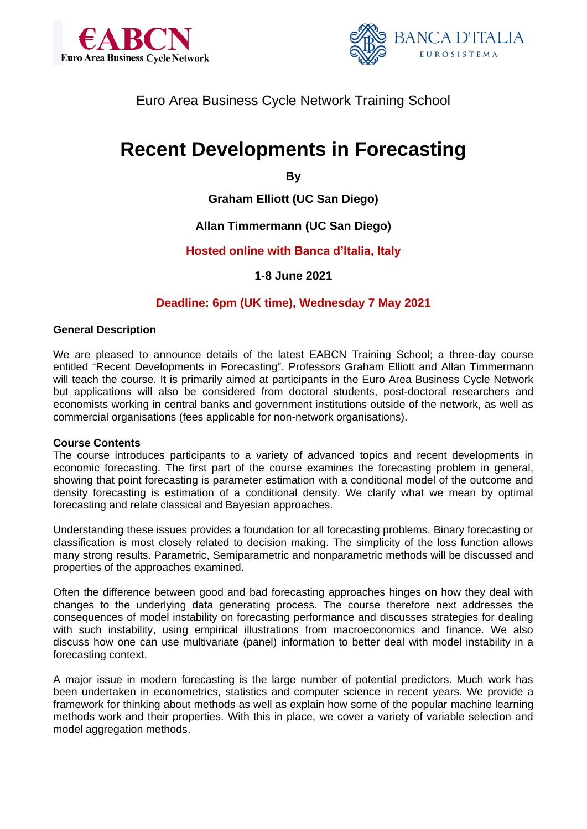



# Euro Area Business Cycle Network Training School

# **Recent Developments in Forecasting**

**By**

**Graham Elliott (UC San Diego)** 

**Allan Timmermann (UC San Diego)**

## **Hosted online with Banca d'Italia, Italy**

**1-8 June 2021**

### **Deadline: 6pm (UK time), Wednesday 7 May 2021**

#### **General Description**

We are pleased to announce details of the latest EABCN Training School; a three-day course entitled "Recent Developments in Forecasting". Professors Graham Elliott and Allan Timmermann will teach the course. It is primarily aimed at participants in the Euro Area Business Cycle Network but applications will also be considered from doctoral students, post-doctoral researchers and economists working in central banks and government institutions outside of the network, as well as commercial organisations (fees applicable for non-network organisations).

#### **Course Contents**

The course introduces participants to a variety of advanced topics and recent developments in economic forecasting. The first part of the course examines the forecasting problem in general, showing that point forecasting is parameter estimation with a conditional model of the outcome and density forecasting is estimation of a conditional density. We clarify what we mean by optimal forecasting and relate classical and Bayesian approaches.

Understanding these issues provides a foundation for all forecasting problems. Binary forecasting or classification is most closely related to decision making. The simplicity of the loss function allows many strong results. Parametric, Semiparametric and nonparametric methods will be discussed and properties of the approaches examined.

Often the difference between good and bad forecasting approaches hinges on how they deal with changes to the underlying data generating process. The course therefore next addresses the consequences of model instability on forecasting performance and discusses strategies for dealing with such instability, using empirical illustrations from macroeconomics and finance. We also discuss how one can use multivariate (panel) information to better deal with model instability in a forecasting context.

A major issue in modern forecasting is the large number of potential predictors. Much work has been undertaken in econometrics, statistics and computer science in recent years. We provide a framework for thinking about methods as well as explain how some of the popular machine learning methods work and their properties. With this in place, we cover a variety of variable selection and model aggregation methods.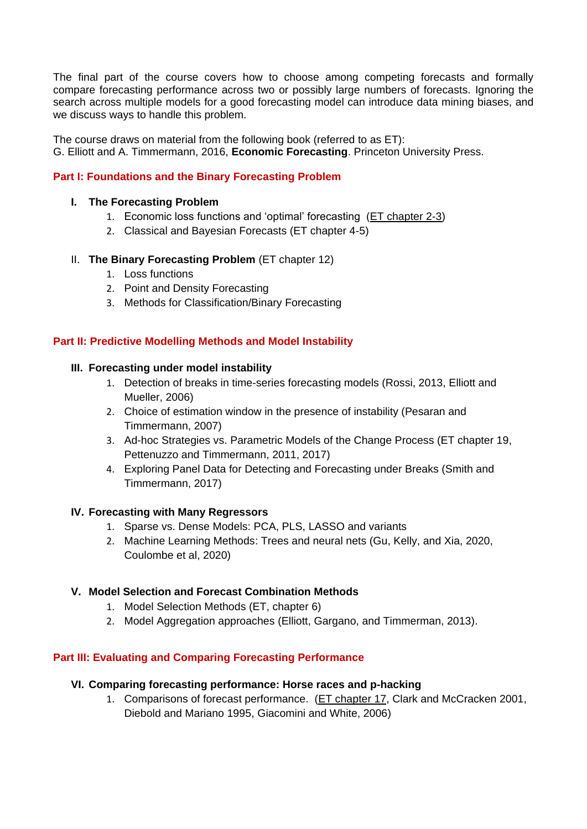The final part of the course covers how to choose among competing forecasts and formally compare forecasting performance across two or possibly large numbers of forecasts. Ignoring the search across multiple models for a good forecasting model can introduce data mining biases, and we discuss ways to handle this problem.

The course draws on material from the following book (referred to as ET): G. Elliott and A. Timmermann, 2016, **Economic Forecasting**. Princeton University Press.

#### **Part I: Foundations and the Binary Forecasting Problem**

#### **I. The Forecasting Problem**

- 1. Economic loss functions and 'optimal' forecasting (ET chapter 2-3)
- 2. Classical and Bayesian Forecasts (ET chapter 4-5)

#### II. **The Binary Forecasting Problem** (ET chapter 12)

- 1. Loss functions
- 2. Point and Density Forecasting
- 3. Methods for Classification/Binary Forecasting

#### **Part II: Predictive Modelling Methods and Model Instability**

#### **III. Forecasting under model instability**

- 1. Detection of breaks in time-series forecasting models (Rossi, 2013, Elliott and Mueller, 2006)
- 2. Choice of estimation window in the presence of instability (Pesaran and Timmermann, 2007)
- 3. Ad-hoc Strategies vs. Parametric Models of the Change Process (ET chapter 19, Pettenuzzo and Timmermann, 2011, 2017)
- 4. Exploring Panel Data for Detecting and Forecasting under Breaks (Smith and Timmermann, 2017)

#### **IV. Forecasting with Many Regressors**

- 1. Sparse vs. Dense Models: PCA, PLS, LASSO and variants
- 2. Machine Learning Methods: Trees and neural nets (Gu, Kelly, and Xia, 2020, Coulombe et al, 2020)

#### **V. Model Selection and Forecast Combination Methods**

- 1. Model Selection Methods (ET, chapter 6)
- 2. Model Aggregation approaches (Elliott, Gargano, and Timmerman, 2013).

#### **Part III: Evaluating and Comparing Forecasting Performance**

#### **VI. Comparing forecasting performance: Horse races and p-hacking**

1. Comparisons of forecast performance. (ET chapter 17, Clark and McCracken 2001, Diebold and Mariano 1995, Giacomini and White, 2006)